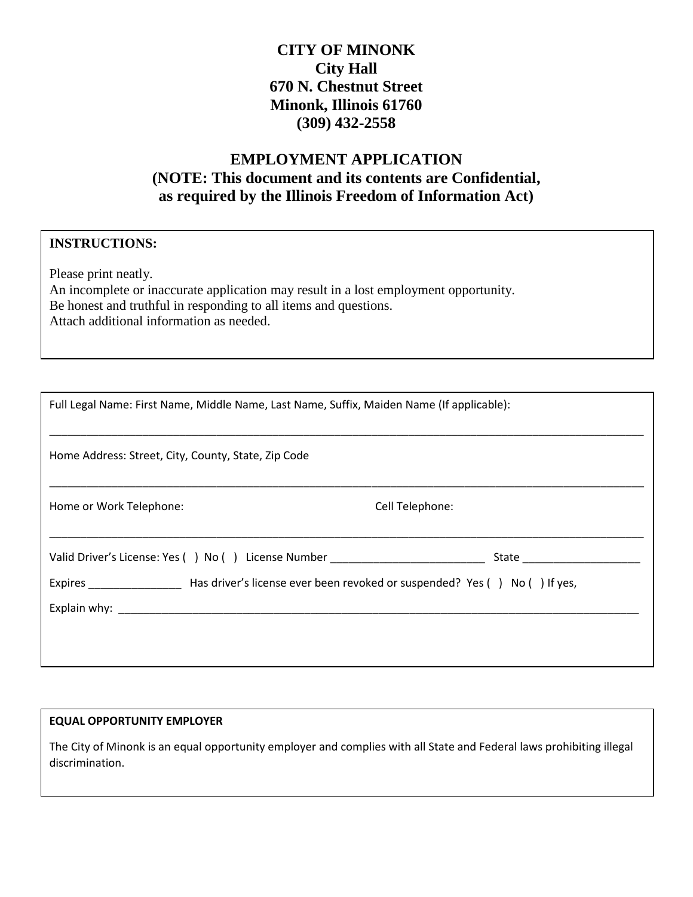## **CITY OF MINONK City Hall 670 N. Chestnut Street Minonk, Illinois 61760 (309) 432-2558**

# **EMPLOYMENT APPLICATION (NOTE: This document and its contents are Confidential, as required by the Illinois Freedom of Information Act)**

## **INSTRUCTIONS:**

Please print neatly. An incomplete or inaccurate application may result in a lost employment opportunity. Be honest and truthful in responding to all items and questions. Attach additional information as needed.

| Full Legal Name: First Name, Middle Name, Last Name, Suffix, Maiden Name (If applicable):                                                                                                                                      |                                |
|--------------------------------------------------------------------------------------------------------------------------------------------------------------------------------------------------------------------------------|--------------------------------|
| Home Address: Street, City, County, State, Zip Code                                                                                                                                                                            |                                |
| Home or Work Telephone:                                                                                                                                                                                                        | Cell Telephone:                |
| Valid Driver's License: Yes () No () License Number ____________________________                                                                                                                                               | State ________________________ |
| Expires Expires Masdriver's license ever been revoked or suspended? Yes () No () If yes,                                                                                                                                       |                                |
| Explain why: North Management and Security and Security and Security and Security and Security and Security and Security and Security and Security and Security and Security and Security and Security and Security and Securi |                                |
|                                                                                                                                                                                                                                |                                |
|                                                                                                                                                                                                                                |                                |

#### **EQUAL OPPORTUNITY EMPLOYER**

The City of Minonk is an equal opportunity employer and complies with all State and Federal laws prohibiting illegal discrimination.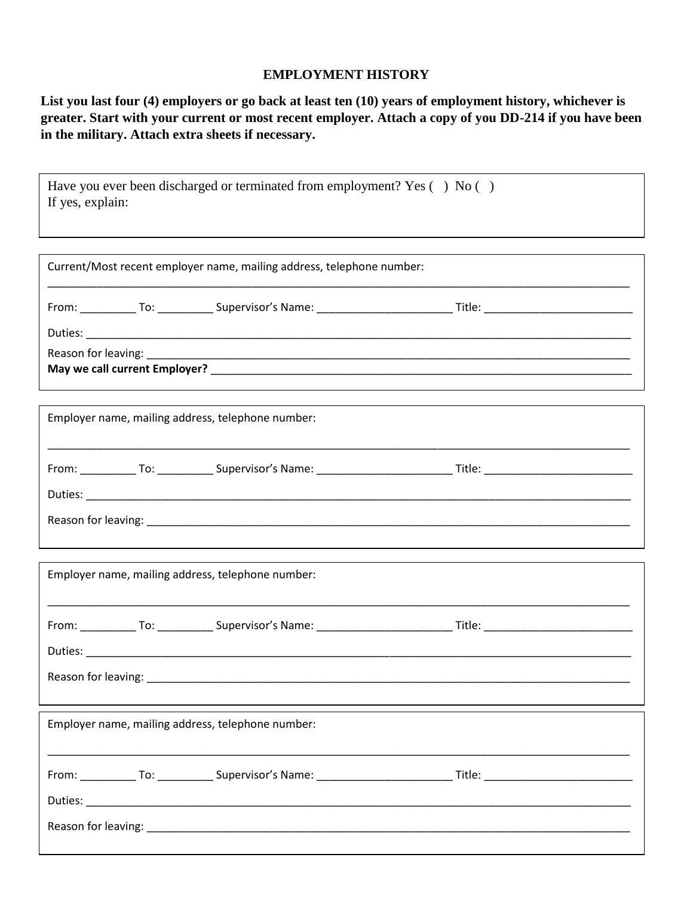#### **EMPLOYMENT HISTORY**

**List you last four (4) employers or go back at least ten (10) years of employment history, whichever is greater. Start with your current or most recent employer. Attach a copy of you DD-214 if you have been in the military. Attach extra sheets if necessary.** 

| Have you ever been discharged or terminated from employment? Yes () No ()<br>If yes, explain: |                                                                       |  |  |
|-----------------------------------------------------------------------------------------------|-----------------------------------------------------------------------|--|--|
|                                                                                               | Current/Most recent employer name, mailing address, telephone number: |  |  |
|                                                                                               |                                                                       |  |  |
|                                                                                               |                                                                       |  |  |
| Employer name, mailing address, telephone number:                                             |                                                                       |  |  |
|                                                                                               |                                                                       |  |  |
|                                                                                               |                                                                       |  |  |
| Employer name, mailing address, telephone number:                                             |                                                                       |  |  |
|                                                                                               |                                                                       |  |  |
| Reason for leaving:                                                                           |                                                                       |  |  |
| Employer name, mailing address, telephone number:                                             |                                                                       |  |  |
|                                                                                               |                                                                       |  |  |
|                                                                                               |                                                                       |  |  |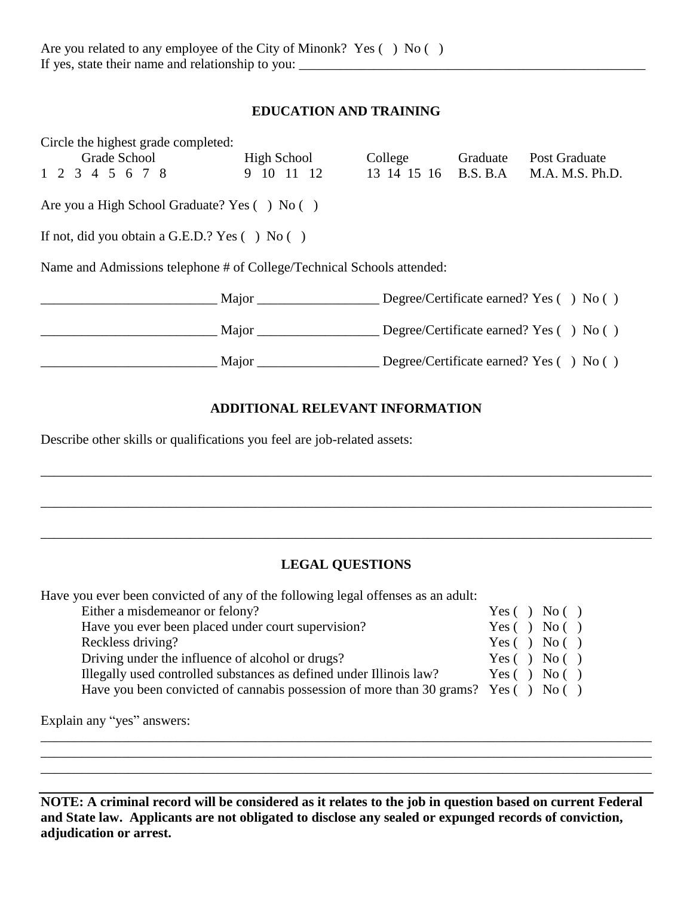## **EDUCATION AND TRAINING**

| Circle the highest grade completed:                                    |                                               |                                                 |          |                                                   |
|------------------------------------------------------------------------|-----------------------------------------------|-------------------------------------------------|----------|---------------------------------------------------|
|                                                                        | Grade School High School                      | College                                         | Graduate | Post Graduate                                     |
| 1 2 3 4 5 6 7 8                                                        |                                               | 9 10 11 12 13 14 15 16 B.S. B.A M.A. M.S. Ph.D. |          |                                                   |
| Are you a High School Graduate? Yes () No ()                           |                                               |                                                 |          |                                                   |
| If not, did you obtain a G.E.D.? Yes $( \ )$ No $( \ )$                |                                               |                                                 |          |                                                   |
| Name and Admissions telephone # of College/Technical Schools attended: |                                               |                                                 |          |                                                   |
|                                                                        | Major Degree/Certificate earned? Yes () No () |                                                 |          |                                                   |
|                                                                        |                                               |                                                 |          | Degree/Certificate earned? Yes $( \ )$ No $( \ )$ |
|                                                                        | Major                                         |                                                 |          | Degree/Certificate earned? Yes $( \ )$ No $( \ )$ |

## **ADDITIONAL RELEVANT INFORMATION**

Describe other skills or qualifications you feel are job-related assets:

## **LEGAL QUESTIONS**

\_\_\_\_\_\_\_\_\_\_\_\_\_\_\_\_\_\_\_\_\_\_\_\_\_\_\_\_\_\_\_\_\_\_\_\_\_\_\_\_\_\_\_\_\_\_\_\_\_\_\_\_\_\_\_\_\_\_\_\_\_\_\_\_\_\_\_\_\_\_\_\_\_\_\_\_\_\_\_\_\_\_\_\_\_\_\_\_\_\_

\_\_\_\_\_\_\_\_\_\_\_\_\_\_\_\_\_\_\_\_\_\_\_\_\_\_\_\_\_\_\_\_\_\_\_\_\_\_\_\_\_\_\_\_\_\_\_\_\_\_\_\_\_\_\_\_\_\_\_\_\_\_\_\_\_\_\_\_\_\_\_\_\_\_\_\_\_\_\_\_\_\_\_\_\_\_\_\_\_\_

Have you ever been convicted of any of the following legal offenses as an adult:

| Either a misdemeanor or felony?                                                    | Yes( ) No( )       |
|------------------------------------------------------------------------------------|--------------------|
| Have you ever been placed under court supervision?                                 | Yes( ) No( )       |
| Reckless driving?                                                                  | Yes( ) No( )       |
| Driving under the influence of alcohol or drugs?                                   | Yes $( )$ No $( )$ |
| Illegally used controlled substances as defined under Illinois law?                | Yes( ) No( )       |
| Have you been convicted of cannabis possession of more than 30 grams? Yes () No () |                    |
|                                                                                    |                    |

Explain any "yes" answers:

**NOTE: A criminal record will be considered as it relates to the job in question based on current Federal and State law. Applicants are not obligated to disclose any sealed or expunged records of conviction, adjudication or arrest.**

\_\_\_\_\_\_\_\_\_\_\_\_\_\_\_\_\_\_\_\_\_\_\_\_\_\_\_\_\_\_\_\_\_\_\_\_\_\_\_\_\_\_\_\_\_\_\_\_\_\_\_\_\_\_\_\_\_\_\_\_\_\_\_\_\_\_\_\_\_\_\_\_\_\_\_\_\_\_\_\_\_\_\_\_\_\_\_\_\_\_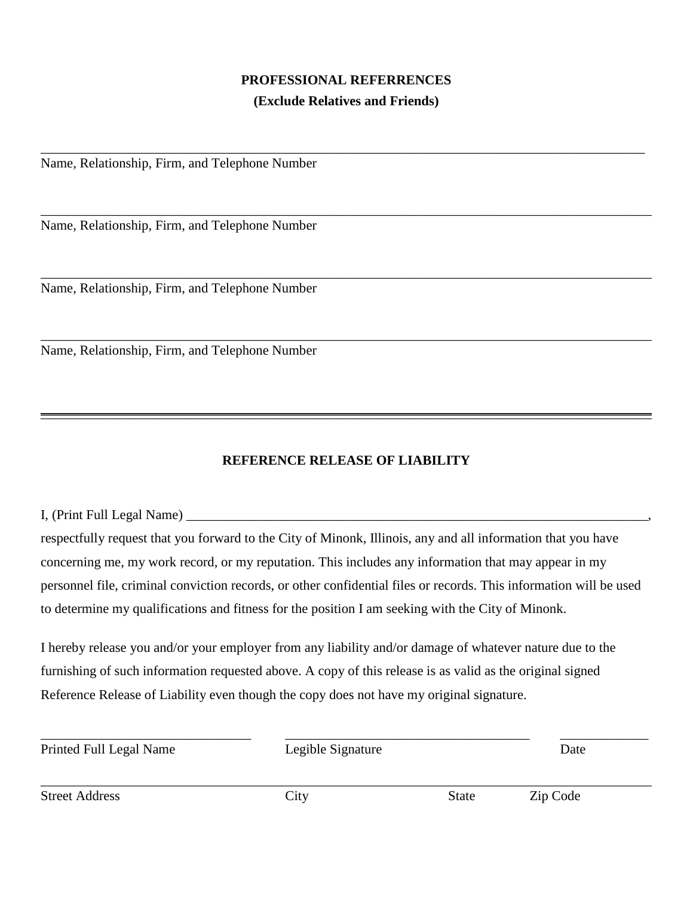# **PROFESSIONAL REFERRENCES (Exclude Relatives and Friends)**

\_\_\_\_\_\_\_\_\_\_\_\_\_\_\_\_\_\_\_\_\_\_\_\_\_\_\_\_\_\_\_\_\_\_\_\_\_\_\_\_\_\_\_\_\_\_\_\_\_\_\_\_\_\_\_\_\_\_\_\_\_\_\_\_\_\_\_\_\_\_\_\_\_\_\_\_\_\_\_\_\_\_\_\_\_\_\_\_\_

\_\_\_\_\_\_\_\_\_\_\_\_\_\_\_\_\_\_\_\_\_\_\_\_\_\_\_\_\_\_\_\_\_\_\_\_\_\_\_\_\_\_\_\_\_\_\_\_\_\_\_\_\_\_\_\_\_\_\_\_\_\_\_\_\_\_\_\_\_\_\_\_\_\_\_\_\_\_\_\_\_\_\_\_\_\_\_\_\_\_

\_\_\_\_\_\_\_\_\_\_\_\_\_\_\_\_\_\_\_\_\_\_\_\_\_\_\_\_\_\_\_\_\_\_\_\_\_\_\_\_\_\_\_\_\_\_\_\_\_\_\_\_\_\_\_\_\_\_\_\_\_\_\_\_\_\_\_\_\_\_\_\_\_\_\_\_\_\_\_\_\_\_\_\_\_\_\_\_\_\_

\_\_\_\_\_\_\_\_\_\_\_\_\_\_\_\_\_\_\_\_\_\_\_\_\_\_\_\_\_\_\_\_\_\_\_\_\_\_\_\_\_\_\_\_\_\_\_\_\_\_\_\_\_\_\_\_\_\_\_\_\_\_\_\_\_\_\_\_\_\_\_\_\_\_\_\_\_\_\_\_\_\_\_\_\_\_\_\_\_\_

Name, Relationship, Firm, and Telephone Number

Name, Relationship, Firm, and Telephone Number

Name, Relationship, Firm, and Telephone Number

Name, Relationship, Firm, and Telephone Number

## **REFERENCE RELEASE OF LIABILITY**

 $\overline{\phantom{a}}$  ,  $\overline{\phantom{a}}$  ,  $\overline{\phantom{a}}$  ,  $\overline{\phantom{a}}$  ,  $\overline{\phantom{a}}$  ,  $\overline{\phantom{a}}$  ,  $\overline{\phantom{a}}$  ,  $\overline{\phantom{a}}$  ,  $\overline{\phantom{a}}$  ,  $\overline{\phantom{a}}$  ,  $\overline{\phantom{a}}$  ,  $\overline{\phantom{a}}$  ,  $\overline{\phantom{a}}$  ,  $\overline{\phantom{a}}$  ,  $\overline{\phantom{a}}$  ,  $\overline{\phantom{a}}$ 

I, (Print Full Legal Name) \_\_\_\_\_\_\_\_\_\_\_\_\_\_\_\_\_\_\_\_\_\_\_\_\_\_\_\_\_\_\_\_\_\_\_\_\_\_\_\_\_\_\_\_\_\_\_\_\_\_\_\_\_\_\_\_\_\_\_\_\_\_\_\_\_\_\_\_, respectfully request that you forward to the City of Minonk, Illinois, any and all information that you have concerning me, my work record, or my reputation. This includes any information that may appear in my personnel file, criminal conviction records, or other confidential files or records. This information will be used to determine my qualifications and fitness for the position I am seeking with the City of Minonk.

I hereby release you and/or your employer from any liability and/or damage of whatever nature due to the furnishing of such information requested above. A copy of this release is as valid as the original signed Reference Release of Liability even though the copy does not have my original signature.

| Printed Full Legal Name<br>Legible Signature |      |       | Date     |  |
|----------------------------------------------|------|-------|----------|--|
| <b>Street Address</b>                        | City | State | Zip Code |  |